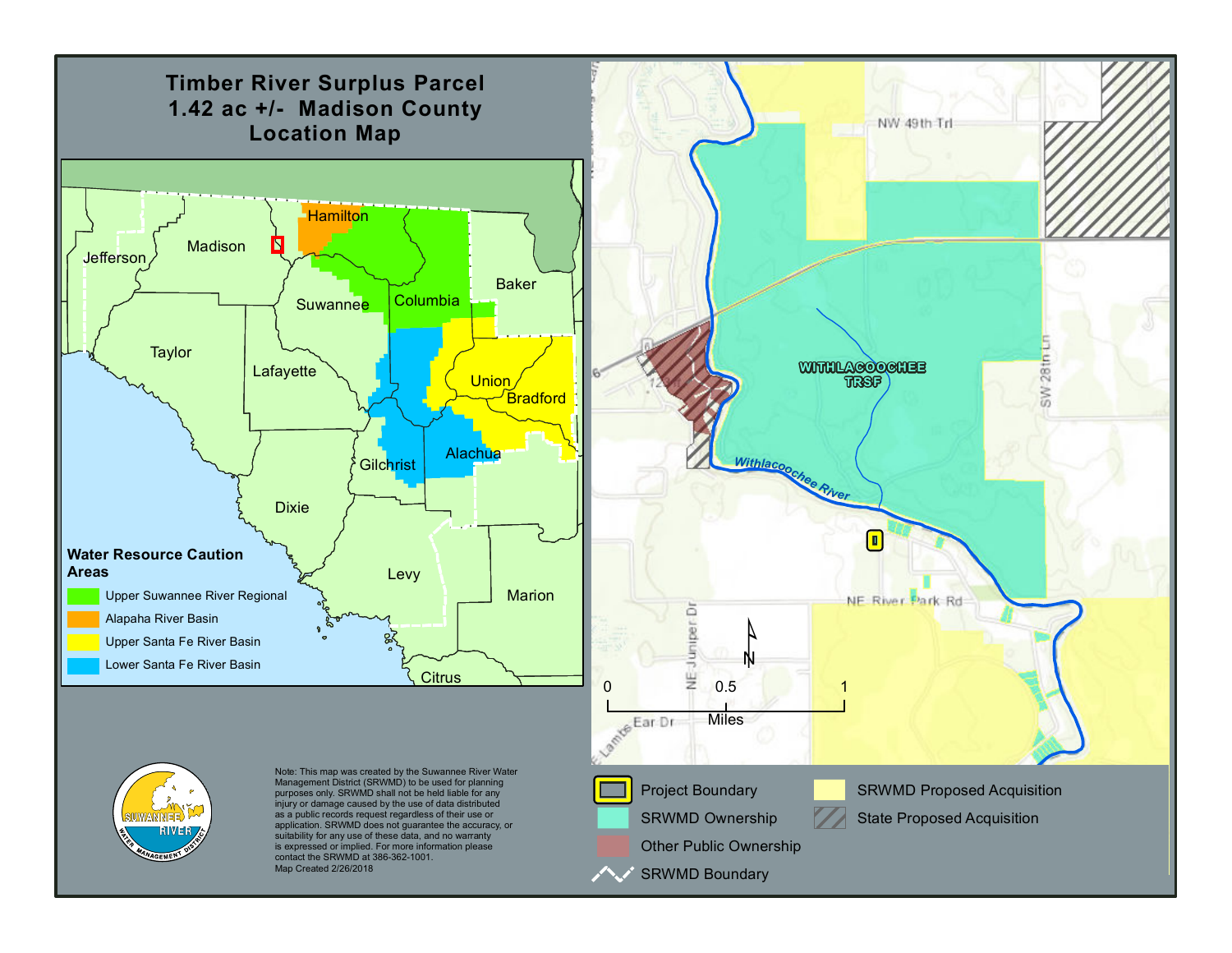